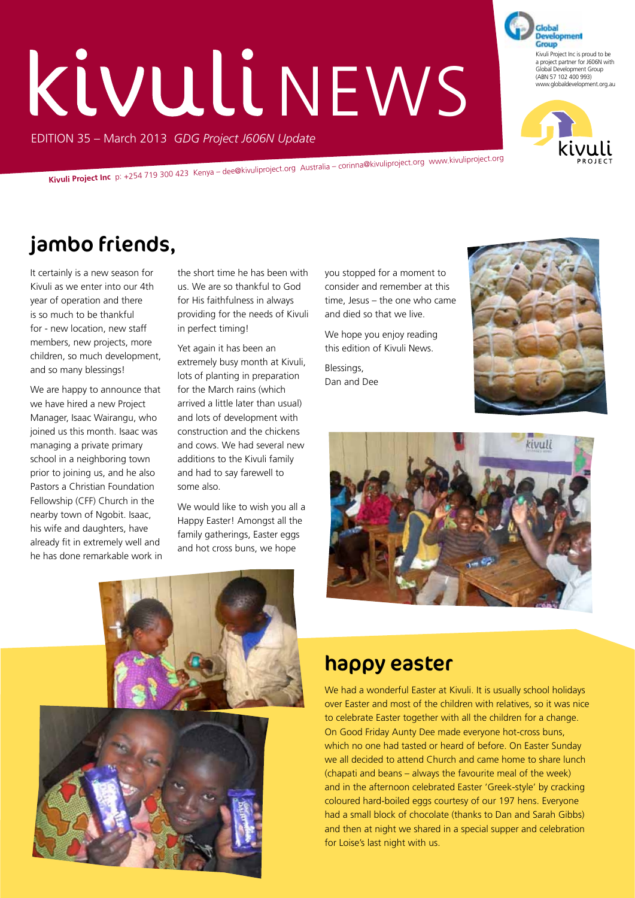# **Kivuli NEWS**

EDITION 35 – March 2013 *GDG Project J606N Update*

**Kivuli Project Inc** p: +254 719 300 423 Kenya – dee@kivuliproject.org Australia – corinna@kivuliproject.org www.kivuliproject.org

## jambo friends,

It certainly is a new season for Kivuli as we enter into our 4th year of operation and there is so much to be thankful for - new location, new staff members, new projects, more children, so much development, and so many blessings!

We are happy to announce that we have hired a new Project Manager, Isaac Wairangu, who joined us this month. Isaac was managing a private primary school in a neighboring town prior to joining us, and he also Pastors a Christian Foundation Fellowship (CFF) Church in the nearby town of Ngobit. Isaac, his wife and daughters, have already fit in extremely well and he has done remarkable work in the short time he has been with us. We are so thankful to God for His faithfulness in always providing for the needs of Kivuli in perfect timing!

Yet again it has been an extremely busy month at Kivuli, lots of planting in preparation for the March rains (which arrived a little later than usual) and lots of development with construction and the chickens and cows. We had several new additions to the Kivuli family and had to say farewell to some also.

We would like to wish you all a Happy Easter! Amongst all the family gatherings, Easter eggs and hot cross buns, we hope

you stopped for a moment to consider and remember at this time, Jesus – the one who came and died so that we live.

We hope you enjoy reading this edition of Kivuli News.

Blessings, Dan and Dee







#### happy easter

We had a wonderful Easter at Kivuli. It is usually school holidays over Easter and most of the children with relatives, so it was nice to celebrate Easter together with all the children for a change. On Good Friday Aunty Dee made everyone hot-cross buns, which no one had tasted or heard of before. On Easter Sunday we all decided to attend Church and came home to share lunch (chapati and beans – always the favourite meal of the week) and in the afternoon celebrated Easter 'Greek-style' by cracking coloured hard-boiled eggs courtesy of our 197 hens. Everyone had a small block of chocolate (thanks to Dan and Sarah Gibbs) and then at night we shared in a special supper and celebration for Loise's last night with us.



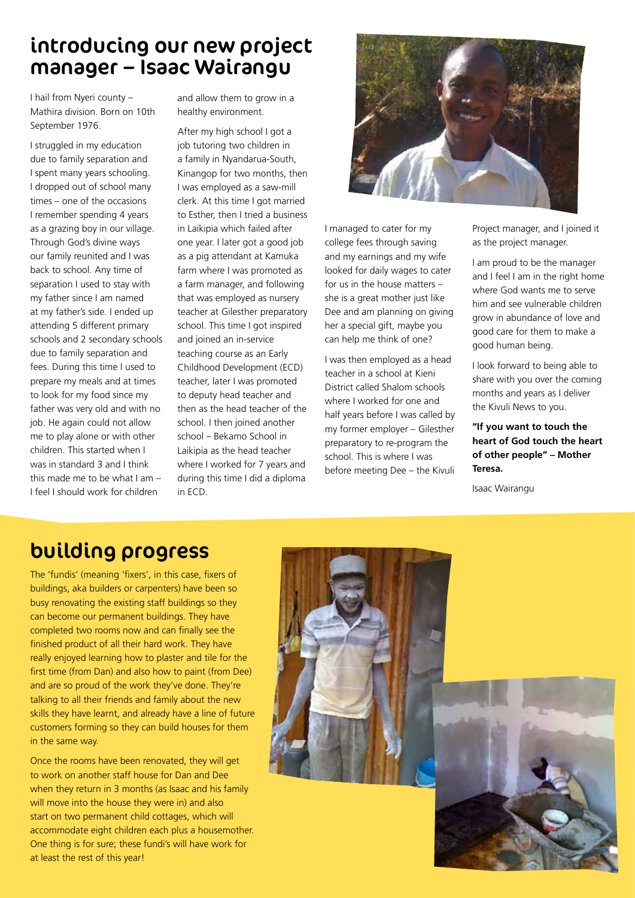#### introducing our new project manager – Isaac Wairangu

I hail from Nyeri county – Mathira division. Born on 10th September 1976.

I struggled in my education due to family separation and I spent many years schooling. I dropped out of school many times – one of the occasions I remember spending 4 years as a grazing boy in our village. Through God's divine ways our family reunited and I was back to school. Any time of separation I used to stay with my father since I am named at my father's side. I ended up attending 5 different primary schools and 2 secondary schools due to family separation and fees. During this time I used to prepare my meals and at times to look for my food since my father was very old and with no job. He again could not allow me to play alone or with other children. This started when I was in standard 3 and I think this made me to be what I am – I feel I should work for children

and allow them to grow in a healthy environment.

After my high school I got a job tutoring two children in a family in Nyandarua-South, Kinangop for two months, then I was employed as a saw-mill clerk. At this time I got married to Esther, then I tried a business in Laikipia which failed after one year. I later got a good job as a pig attendant at Kamuka farm where I was promoted as a farm manager, and following that was employed as nursery teacher at Gilesther preparatory school. This time I got inspired and joined an in-service teaching course as an Early Childhood Development (ECD) teacher, later I was promoted to deputy head teacher and then as the head teacher of the school. I then joined another school – Bekamo School in Laikipia as the head teacher where I worked for 7 years and during this time I did a diploma in ECD.



I managed to cater for my college fees through saving and my earnings and my wife looked for daily wages to cater for us in the house matters – she is a great mother just like Dee and am planning on giving her a special gift, maybe you can help me think of one?

I was then employed as a head teacher in a school at Kieni District called Shalom schools where I worked for one and half years before I was called by my former employer – Gilesther preparatory to re-program the school. This is where I was before meeting Dee – the Kivuli Project manager, and I joined it as the project manager.

I am proud to be the manager and I feel I am in the right home where God wants me to serve him and see vulnerable children grow in abundance of love and good care for them to make a good human being.

I look forward to being able to share with you over the coming months and years as I deliver the Kivuli News to you.

**"If you want to touch the heart of God touch the heart of other people" – Mother Teresa.**

Isaac Wairangu

#### building progress

The 'fundis' (meaning 'fixers', in this case, fixers of buildings, aka builders or carpenters) have been so busy renovating the existing staff buildings so they can become our permanent buildings. They have completed two rooms now and can finally see the finished product of all their hard work. They have really enjoyed learning how to plaster and tile for the first time (from Dan) and also how to paint (from Dee) and are so proud of the work they've done. They're talking to all their friends and family about the new skills they have learnt, and already have a line of future customers forming so they can build houses for them in the same way.

Once the rooms have been renovated, they will get to work on another staff house for Dan and Dee when they return in 3 months (as Isaac and his family will move into the house they were in) and also start on two permanent child cottages, which will accommodate eight children each plus a housemother. One thing is for sure; these fundi's will have work for at least the rest of this year!

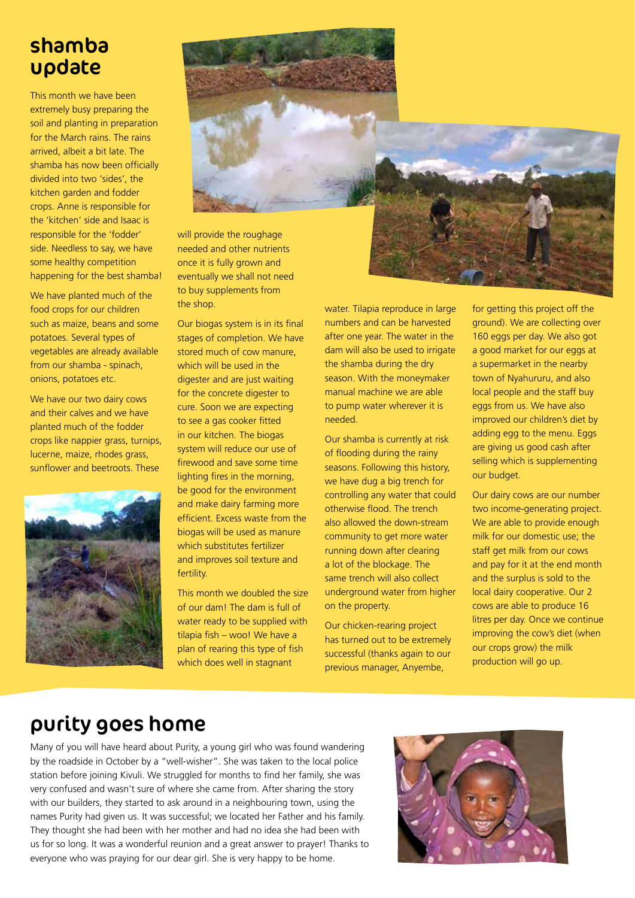#### shamba update

This month we have been extremely busy preparing the soil and planting in preparation for the March rains. The rains arrived, albeit a bit late. The shamba has now been officially divided into two 'sides', the kitchen garden and fodder crops. Anne is responsible for the 'kitchen' side and Isaac is responsible for the 'fodder' side. Needless to say, we have some healthy competition happening for the best shamba!

We have planted much of the food crops for our children such as maize, beans and some potatoes. Several types of vegetables are already available from our shamba - spinach, onions, potatoes etc.

We have our two dairy cows and their calves and we have planted much of the fodder crops like nappier grass, turnips, lucerne, maize, rhodes grass, sunflower and beetroots. These





will provide the roughage needed and other nutrients once it is fully grown and eventually we shall not need to buy supplements from the shop.

Our biogas system is in its final stages of completion. We have stored much of cow manure, which will be used in the digester and are just waiting for the concrete digester to cure. Soon we are expecting to see a gas cooker fitted in our kitchen. The biogas system will reduce our use of firewood and save some time lighting fires in the morning, be good for the environment and make dairy farming more efficient. Excess waste from the biogas will be used as manure which substitutes fertilizer and improves soil texture and fertility.

This month we doubled the size of our dam! The dam is full of water ready to be supplied with tilapia fish – woo! We have a plan of rearing this type of fish which does well in stagnant

water. Tilapia reproduce in large numbers and can be harvested after one year. The water in the dam will also be used to irrigate the shamba during the dry season. With the moneymaker manual machine we are able to pump water wherever it is needed.

Our shamba is currently at risk of flooding during the rainy seasons. Following this history, we have dug a big trench for controlling any water that could otherwise flood. The trench also allowed the down-stream community to get more water running down after clearing a lot of the blockage. The same trench will also collect underground water from higher on the property.

Our chicken-rearing project has turned out to be extremely successful (thanks again to our previous manager, Anyembe,

for getting this project off the ground). We are collecting over 160 eggs per day. We also got a good market for our eggs at a supermarket in the nearby town of Nyahururu, and also local people and the staff buy eggs from us. We have also improved our children's diet by adding egg to the menu. Eggs are giving us good cash after selling which is supplementing our budget.

Our dairy cows are our number two income-generating project. We are able to provide enough milk for our domestic use; the staff get milk from our cows and pay for it at the end month and the surplus is sold to the local dairy cooperative. Our 2 cows are able to produce 16 litres per day. Once we continue improving the cow's diet (when our crops grow) the milk production will go up.

#### purity goes home

Many of you will have heard about Purity, a young girl who was found wandering by the roadside in October by a "well-wisher". She was taken to the local police station before joining Kivuli. We struggled for months to find her family, she was very confused and wasn't sure of where she came from. After sharing the story with our builders, they started to ask around in a neighbouring town, using the names Purity had given us. It was successful; we located her Father and his family. They thought she had been with her mother and had no idea she had been with us for so long. It was a wonderful reunion and a great answer to prayer! Thanks to everyone who was praying for our dear girl. She is very happy to be home.

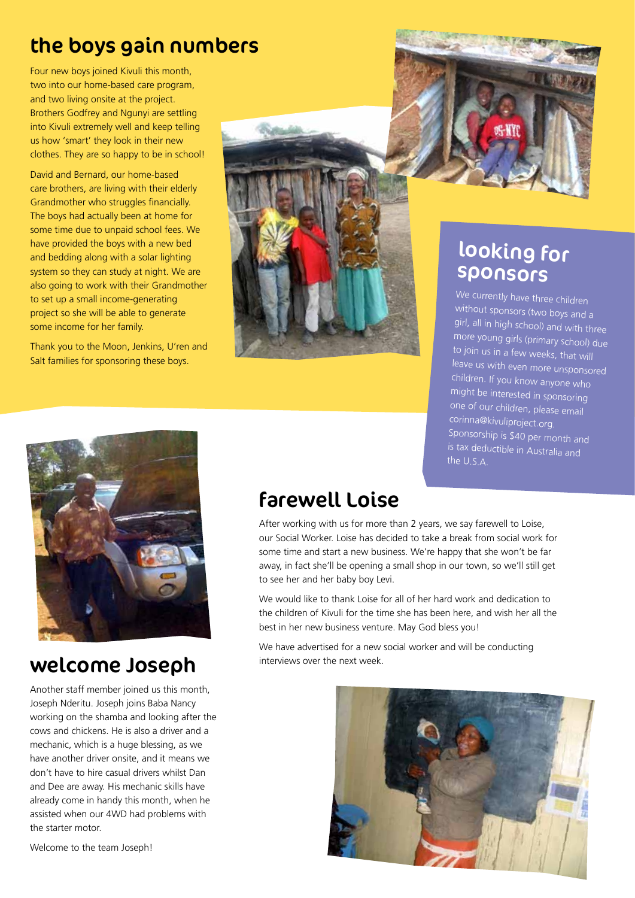#### the boys gain numbers

Four new boys joined Kivuli this month, two into our home-based care program, and two living onsite at the project. Brothers Godfrey and Ngunyi are settling into Kivuli extremely well and keep telling us how 'smart' they look in their new clothes. They are so happy to be in school!

David and Bernard, our home-based care brothers, are living with their elderly Grandmother who struggles financially. The boys had actually been at home for some time due to unpaid school fees. We have provided the boys with a new bed and bedding along with a solar lighting system so they can study at night. We are also going to work with their Grandmother to set up a small income-generating project so she will be able to generate some income for her family.

Thank you to the Moon, Jenkins, U'ren and Salt families for sponsoring these boys.





## looking for sponsors

We currently have three children without sponsors (two boys and a girl, all in high school) and with three more young girls (primary school) due to join us in a few weeks, that will leave us with even more unsponsored children. If you know anyone who might be interested in sponsoring one of our children, please email corinna@kivuliproject.org. Sponsorship is \$40 per month and is tax deductible in Australia and the U.S.A.



#### welcome Joseph interviews over the next week.

Another staff member joined us this month, Joseph Nderitu. Joseph joins Baba Nancy working on the shamba and looking after the cows and chickens. He is also a driver and a mechanic, which is a huge blessing, as we have another driver onsite, and it means we don't have to hire casual drivers whilst Dan and Dee are away. His mechanic skills have already come in handy this month, when he assisted when our 4WD had problems with the starter motor.

## farewell Loise

After working with us for more than 2 years, we say farewell to Loise, our Social Worker. Loise has decided to take a break from social work for some time and start a new business. We're happy that she won't be far away, in fact she'll be opening a small shop in our town, so we'll still get to see her and her baby boy Levi.

We would like to thank Loise for all of her hard work and dedication to the children of Kivuli for the time she has been here, and wish her all the best in her new business venture. May God bless you!

We have advertised for a new social worker and will be conducting



Welcome to the team Joseph!